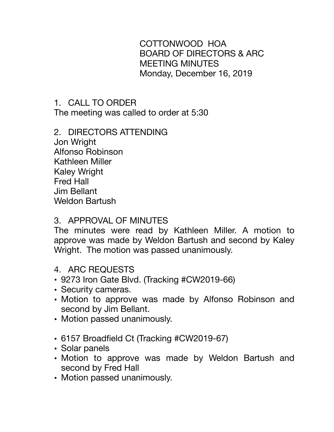COTTONWOOD HOA BOARD OF DIRECTORS & ARC MEETING MINUTES Monday, December 16, 2019

# 1. CALL TO ORDER

The meeting was called to order at 5:30

#### 2. DIRECTORS ATTENDING Jon Wright Alfonso Robinson Kathleen Miller Kaley Wright Fred Hall Jim Bellant Weldon Bartush

## 3. APPROVAL OF MINUTES

The minutes were read by Kathleen Miller. A motion to approve was made by Weldon Bartush and second by Kaley Wright. The motion was passed unanimously.

#### 4. ARC REQUESTS

- 9273 Iron Gate Blvd. (Tracking #CW2019-66)
- Security cameras.
- Motion to approve was made by Alfonso Robinson and second by Jim Bellant.
- Motion passed unanimously.
- 6157 Broadfield Ct (Tracking #CW2019-67)
- Solar panels
- Motion to approve was made by Weldon Bartush and second by Fred Hall
- Motion passed unanimously.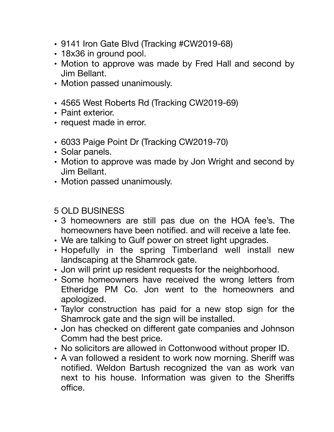- 9141 Iron Gate Blvd (Tracking #CW2019-68)
- 18x36 in ground pool.
- Motion to approve was made by Fred Hall and second by Jim Bellant.
- Motion passed unanimously.
- 4565 West Roberts Rd (Tracking CW2019-69)
- Paint exterior.
- request made in error.
- 6033 Paige Point Dr (Tracking CW2019-70)
- Solar panels.
- Motion to approve was made by Jon Wright and second by Jim Bellant.
- Motion passed unanimously.

# 5 OLD BUSINESS

- 3 homeowners are still pas due on the HOA fee's. The homeowners have been notified. and will receive a late fee.
- We are talking to Gulf power on street light upgrades.
- Hopefully in the spring Timberland well install new landscaping at the Shamrock gate.
- Jon will print up resident requests for the neighborhood.
- Some homeowners have received the wrong letters from Etheridge PM Co. Jon went to the homeowners and apologized.
- Taylor construction has paid for a new stop sign for the Shamrock gate and the sign will be installed.
- Jon has checked on different gate companies and Johnson Comm had the best price.
- No solicitors are allowed in Cottonwood without proper ID.
- A van followed a resident to work now morning. Sheriff was notified. Weldon Bartush recognized the van as work van next to his house. Information was given to the Sheriffs office.